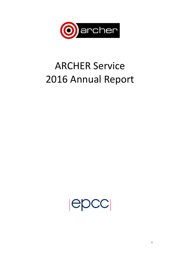

# **ARCHER Service** 2016 Annual Report

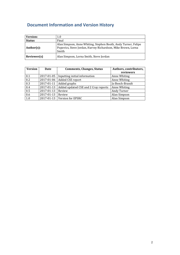# **Document Information and Version History**

| Version:      | 1.0                                                                                                                                     |  |
|---------------|-----------------------------------------------------------------------------------------------------------------------------------------|--|
| <b>Status</b> | Final                                                                                                                                   |  |
| $Author(s)$ : | Alan Simpson, Anne Whiting, Stephen Booth, Andy Turner, Felipe<br>Popovics, Steve Jordan, Harvey Richardson, Mike Brown, Lorna<br>Smith |  |
| Reviewer(s)   | Alan Simpson, Lorna Smith, Steve Jordan                                                                                                 |  |

| <b>Version</b>   | Date       | <b>Comments, Changes, Status</b>     | Authors, contributors, |  |
|------------------|------------|--------------------------------------|------------------------|--|
|                  |            |                                      | reviewers              |  |
| 0.1              | 2017-01-05 | Inputting initial information        | Anne Whiting           |  |
| 0.2              | 2017-01-06 | Added CSE report                     | Anne Whiting           |  |
| 0.3              | 2017-01-11 | Added graphs                         | Jo Beech-Brandt        |  |
| 0.4              | 2017-01-13 | Added updated CSE and 2 Cray reports | Anne Whiting           |  |
| $\overline{0.5}$ | 2017-01-13 | Review                               | Andy Turner            |  |
| 0.6              | 2017-01-13 | Review                               | Alan Simpson           |  |
| 1.0              |            | 2017-01-13   Version for EPSRC       | Alan Simpson           |  |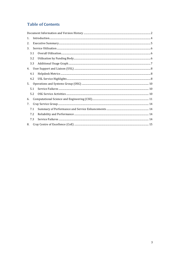# **Table of Contents**

| 1. |     |  |
|----|-----|--|
| 2. |     |  |
| 3. |     |  |
|    | 3.1 |  |
|    | 3.2 |  |
|    | 3.3 |  |
| 4. |     |  |
|    | 4.1 |  |
|    | 4.2 |  |
| 5. |     |  |
|    | 5.1 |  |
|    | 5.2 |  |
| 6. |     |  |
| 7. |     |  |
|    | 7.1 |  |
|    | 7.2 |  |
|    | 7.3 |  |
| 8. |     |  |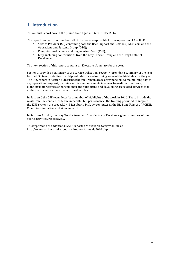# **1. Introduction**

This annual report covers the period from 1 Jan 2016 to 31 Dec 2016.

The report has contributions from all of the teams responsible for the operation of ARCHER;

- Service Provider (SP) containing both the User Support and Liaison (USL) Team and the Operations and Systems Group (OSG);
- Computational Science and Engineering Team (CSE);
- Cray, including contributions from the Cray Service Group and the Cray Centre of Excellence.

The next section of this report contains an Executive Summary for the year.

Section 3 provides a summary of the service utilisation. Section 4 provides a summary of the year for the USL team, detailing the Helpdesk Metrics and outlining some of the highlights for the year. The OSG report in Section 5 describes their four main areas of responsibility; maintaining day-today operational support; planning service enhancements in a near to medium timeframe; planning major service enhancements; and supporting and developing associated services that underpin the main external operational service.

In Section 6 the CSE team describe a number of highlights of the work in 2016. These include the work from the centralised team on parallel I/O performance; the training provided to support the KNL system; the Wee ARCHIE Raspberry Pi Supercomputer at the Big Bang Fair; the ARCHER Champions initiative; and Women in HPC.

In Sections 7 and 8, the Cray Service team and Cray Centre of Excellence give a summary of their year's activities, respectively.

This report and the additional SAFE reports are available to view online at http://www.archer.ac.uk/about-us/reports/annual/2016.php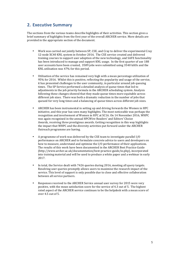# **2. Executive Summary**

The sections from the various teams describe highlights of their activities. This section gives a brief summary of highlights from the first year of the overall ARCHER service. More details are provided in the appropriate section of the document.

- Work was carried out jointly between SP, CSE, and Cray to deliver the experimental Cray 12-node XC40 KNL system in October 2016. The CSE service created and delivered training courses to support user adoption of the new technology, and SAFE functionality has been introduced to manage and support KNL usage. In the first quarter of use 188 user accounts have been created, 3589 jobs were submitted using 3540 kAUs and the KNL utilisation was 47% for this period.
- Utilisation of the service has remained very high with a mean percentage utilization of 95% for 2016. Whilst this is positive, reflecting the popularity and usage of the service, it has presented challenges to the user community, in particular around job queuing times. The SP Service performed a detailed analysis of queue times that led to adjustments in the job priority formula in the ARCHER scheduling system. Analysis following these changes showed that they made queue times more equitable across different job sizes. There was both a dramatic reduction in the number of jobs that queued for very long times and a balancing of queue times across different job sizes.
- ARCHER has been instrumental in setting up and driving forwards the Women in HPC. initiative, and this vear has seen many highlights. The most noticeable was perhaps the recognition and involvement of Women in HPC at SC16. On 14 November 2016, WHPC was again recognised in the annual HPCWire Readers' and Editors' Choice Awards, receiving three prestigious awards. Getting recognition in this way highlights the impact that WHPC and the diversity activities put forward under the ARCHER Outreach programme are having.
- A programme of work was delivered by the CSE team to investigate parallel I/O performance on ARCHER and to formulate concrete advice to users and developers on how to measure, understand and optimise the I/O performance of their applications. The results of this work have been documented in the ARCHER Best Practice Guide (http://www.archer.ac.uk/documentation/best-practice-guide/io.php), incorporated into training material and will be used to produce a white paper and a webinar in early 2017.
- In total, the Service dealt with 7426 queries during 2016, meeting all query targets. Resolving user queries promptly allows users to maximise the research impact of the service. This level of support is only possible due to close and effective collaboration between all service partners.
- Responses received to the ARCHER Service annual user survey for 2015 were very positive, with the mean satisfaction score for the service of 4.3 out of 5. The highest rated aspect of the ARCHER service continues to be the helpdesk with a mean score of over 4.5 out of 5.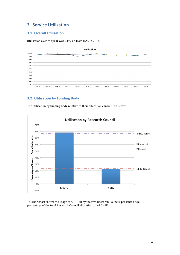# **3. Service Utilisation**

## **3.1 Overall Utilisation**

Utilisation over the year was 94%, up from 87% in 2015.



## **3.2 Utilisation by Funding Body**

The utilisation by funding body relative to their allocation can be seen below.



This bar chart shows the usage of ARCHER by the two Research Councils presented as a percentage of the total Research Council allocation on ARCHER.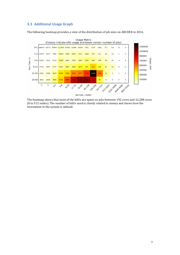## **3.3 Additional Usage Graph**

The following heatmap provides a view of the distribution of job sizes on ARCHER in 2016.



The heatmap shows that most of the kAUs are spent on jobs between 192 cores and 12,288 cores (8 to 512 nodes). The number of kAUs used is closely related to money and shows how the investment in the system is utilised.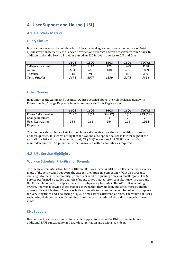# **4. User Support and Liaison (USL)**

## **4.1 Helpdesk Metrics**

#### **Query Closure**

It was a busy year on the helpdesk but all Service level agreements were met. A total of 7426 queries were answered by the Service Provider, and over 99.4% were resolved within 2 days. In addition to this, the Service Provider passed on 222 in-depth queries to CSE and Cray.

|                      | 1501 | 1502 | 1503 | 1604 | <b>TOTAL</b> |
|----------------------|------|------|------|------|--------------|
| Self-Service Admin   | 1722 | 1172 | 775  | 1693 | 5288         |
| Admin                | 654  | 616  | 408  | 497  | 1869         |
| Technical            | 118  | 91   | 67   | 83   | 269          |
| <b>Total Queries</b> | 2494 | 1879 | 1250 | 2273 | 7426         |

#### **Other Queries**

In addition to the Admin and Technical Queries detailed above, the Helpdesk also dealt with Phone queries, Change Requests, internal requests and User Registration.

|                             | 1601    | 1602    | 1603    | 1604   | <b>TOTAL</b> |
|-----------------------------|---------|---------|---------|--------|--------------|
| <b>Phone Calls Received</b> | 82 (25) | 81 (21) | 56 (17) | 80(16) | 299 (79)     |
| <b>Change Requests</b>      |         | 10      | 4       |        | 23           |
| User Registration           | 338     | 264     | 264     | 218    | 1084         |
| Requests                    |         |         |         |        |              |

The numbers shown in brackets for the phone calls received are the calls resulting in new or updated queries. It is worth noting that the volume of telephone calls was low throughout the year. Of the 299 calls received in total, only 79 (26%) were actual ARCHER user calls that resulted in queries. All phone calls were answered within 2 minutes, as required.

## **4.2 USL Service Highlights**

#### **Work on Scheduler Prioritisation Formula**

The mean system utilisation for ARCHER in 2016 was 95%. Whilst this reflects the extensive use made of the service, and supports the case for the future investment in HPC, it also presents challenges to the user community, primarily around the queuing times for smaller jobs. The SP Service performed a detailed analysis of queue times that led, after consultation with users and the Research Councils, to adjustments in the job priority formula in the ARCHER scheduling system. Analysis following these changes showed that they made queue times more equitable across different job sizes. There was both a dramatic reduction in the number of jobs that queue for very long times and a balancing of queue times across different job sizes. The volume of users registering their concerns with queuing times has greatly reduced since this change has been made. 

#### **KNL Support**

User support has been extended to provide support to users of the KNL system including additional SAFE functionality and user documentation and assistance videos.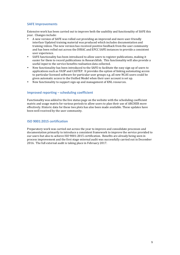#### **SAFE Improvements**

Extensive work has been carried out to improve both the usability and functionality of SAFE this vear. Changes include:

- A new version of SAFE was rolled out providing an improved and more user-friendly interface Updated training material was produced which includes documentation and training videos. The new version has received positive feedback from the user community and has been rolled out across the DIRAC and EPCC SAFE instances to provide a consistent user experience.
- SAFE functionality has been introduced to allow users to register publications, making it easier for them to record publications in Researchfish. This functionality will also provide a useful input to the service benefits realisation data collected.
- New functionality has been introduced to the SAFE to facilitate the easy sign up of users to applications such as VASP and CASTEP. It provides the option of linking automating access to particular licensed software for particular user groups e.g. all new NCAS users could be given automatic access to the Unified Model when their user account is set up.
- New functionality to support sign-up and management of KNL resources.

#### **Improved reporting – scheduling coefficient**

Functionality was added to the live status page on the website with the scheduling coefficient matrix and usage matrix for various periods to allow users to plan their use of ARCHER more effectively. Historic data for these two plots has also been made available. These updates have been well received by the user community.

#### **ISO 9001:2015 certification**

Preparatory work was carried out across the year to improve and consolidate processes and documentation primarily to introduce a consistent framework to improve the service provided to our users but also to achieve ISO 9001:2015 certification. Benefits are already being seen in process improvement and the first stage external audit was successfully carried out in December 2016. The full external audit is taking place in February 2017.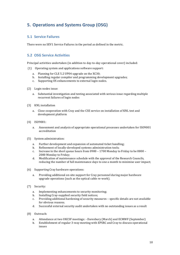# **5. Operations and Systems Group (OSG)**

## **5.1 Service Failures**

There were no SEV1 Service Failures in the period as defined in the metric.

## **5.2 OSG Service Activities**

Principal activities undertaken (in addition to day-to-day operational cover) included:

- (1) Operating system and applications software support:
	- a. Planning for CLE 5.2 UP04 upgrade on the XC30;
	- b. Installing regular compiler and programming development upgrades;
	- c. Supporting OS enhancements to external login nodes.
- (2) Login nodes issue:
	- a. Substantial investigation and testing associated with serious issue regarding multiple recurrent failures of login nodes
- (3) KNL installation
	- a. Close cooperation with Cray and the CSE service on installation of KNL test and development platform
- (4) ISO9001:
	- a. Assessment and analysis of appropriate operational processes undertaken for ISO9001 accreditation
- (5) System administration:
	- a. Further development and expansion of automated ticket handling;
	- b. Refinement of locally-developed systems administration tools;
	- c. Increase in the short queue hours from  $0900 1700$  Monday to Friday to be  $0800 -$ 2000 Monday to Friday:
	- d. Modification of maintenance schedule with the approval of the Research Councils, reducing the number of full maintenance days to one a month to minimise user impact;
- (6) Supporting Cray hardware operations:
	- a. Providing additional on-site support for Cray personnel during major hardware upgrade operations (such as the optical cable re-work).
- (7) Security:
	- a. Implementing enhancements to security monitoring;
	- b. Installing Cray-supplied security field notices;
	- c. Providing additional hardening of security measures specific details are not available for obvious reasons.
	- d. Successful external security audit undertaken with no outstanding issues as a result
- (8) Outreach:
	- a. Attendance at two UKCSF meetings: Daresbury (March) and ECMWF (September)
	- b. Establishment of regular 3-way meeting with EPSRC and Cray to discuss operational issues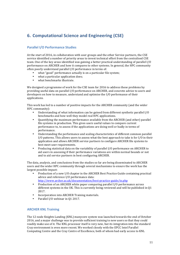# **6. Computational Science and Engineering (CSE)**

## **Parallel I/O Performance Studies**

At the start of 2016, in collaboration with user groups and the other Service partners, the CSE service identified a number of priority areas to invest technical effort from the centralised CSE team. One of the key areas identified was gaining a better practical understanding of parallel I/O performance on ARCHER and how it compares to other systems. In general, the HPC community often poorly understand parallel I/O performance in terms of:

- what "good" performance actually is on a particular file system;
- what a particular application does;
- what henchmarks illustrate

We designed a programme of work for the CSE team for 2016 to address these problems by providing useful data on parallel I/O performance on ARCHER, and concrete advice to users and developers on how to measure, understand and optimise the I/O performance of their applications.

This work has led to a number of positive impacts for the ARCHER community (and the wider HPC community):

- Understanding of what information can be gained from different synthetic parallel  $I/O$ benchmarks and how well they model real HPC applications.
- Quantifying the maximum performance available from the ARCHER (and other) parallel file systems in production. This gives users useful values to compare current performance to, to assess if the applications are doing well or badly in terms of performance.
- Understanding the performance and scaling characteristics of different common parallel  $I/O$  patterns. This allows users to assess what the best approach to take is for  $I/O$  in their application and allows ARCHER service partners to configure ARCHER file systems to best meet user requirements.
- Producing statistical data on the variability of parallel I/O performance on ARCHER to aid users in assessing if their performance variations are within normal bounds or not and to aid service partners in best configuring ARCHER.

The data, analysis, and conclusions from the studies so far are being disseminated to ARCHER users and the wider HPC community through several mechanisms to ensure the work has the largest possible impact:

- Production of a new I/O chapter in the ARCHER Best Practice Guide containing practical advice and reference I/O performance data:
	- http://www.archer.ac.uk/documentation/best-practice-guide/io.php
- Production of an ARCHER white paper comparing parallel I/O performance across different systems in the UK. This is currently being reviewed and will be published in  $Q1$ 2017.
- Incorporation into ARCHER Training materials.
- Parallel I/O webinar in 01 2017.

#### **ARCHER KNL Training**

The 12-node Knights Landing (KNL) manycore system was launched towards the end of October 2016, and a major challenge was to provide sufficient training to new users so that they could readily make use of it. The KNL processor itself is very new, but its integration into the standard Cray environment is even more recent. We worked closely with the EPCC Intel Parallel Computing Centre and the Cray Centre of Excellence, both of whom had early access to KNL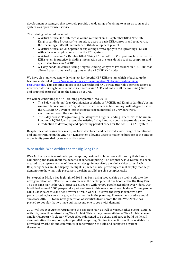development systems, so that we could provide a wide range of training to users as soon as the system was open for user service.

The training delivered included:

- A virtual tutorial (i.e. interactive online webinar) on 14 September titled "The Intel Knights Landing Processor" to introduce users to basic KNL concepts and to advertise the upcoming eCSE call that included KNL development projects.
- A virtual tutorial on 21 September explaining how to apply to the upcoming eCSE call, with a focus on applications to use the KNL system.
- A virtual tutorial on 12 October titled "Using KNL on ARCHER" explaining how to use the KNL system in practice, including information on the local details such as compilers and queue structures on ARCHER.
- A 1-dav hands-on course "Using Knights Landing Manycore Processors on ARCHER" that allowed users to run real programs on the ARCHER KNL nodes.

We have also launched a new driving test for the ARCHER KNL system which is backed up by training material at http://www.archer.ac.uk/documentation/knl-guide/knl-trainingresources.php. This contains videos of the two technical KNL virtual tutorials described above, a new video describing how to request KNL access via SAFE, and links to all the material (slides and practical exercises) from the hands-on course.

We will be continuing the KNL training programme into 2017:

- The 3-day hands-on "Cray Optimization Workshop: ARCHER and Knights Landing", being run in collaboration with Cray at their Bristol offices in late January, will integrate use of the ARCHER KNL system into existing advanced material on Cray hardware, environment, compilers and tools.
- The 2-day course "Programming the Manycore Knights Landing Processor", to be run in London in  $1Q2017$ , will extend the existing 1-day hands-on course to provide a complete introduction to developing and optimising parallel codes for the ARCHER KNL system.

Despite the challenging timescales, we have developed and delivered a wide range of traditional and online training on the ARCHER KNL system allowing users to make the best use of the unique opportunity provided by access to this system.

#### Wee Archie, Wee Archlet and the Big Bang Fair

Wee Archie is a suitcase-sized supercomputer, designed to let school children try their hand at computing and learn about the benefits of supercomputing. The Raspberry Pi 2 system has been created to be representative of the system design in massively parallel architectures. Each Raspberry Pi has an LED display that lights up when in use, providing a visual display that helps demonstrate how multiple processors work in parallel to solve complex tasks.

Developed in 2015, a key highlight of 2016 has been using Wee Archie as a tool to educate the next generation of HPC users. Wee Archie was the centrepiece of our booth at the Big Bang Fair. The Big Bang Fair is the UK's largest STEM event, with 70,000 people attending over 4 days. Our booth had around 6000 people take part and Wee Archie was a considerable draw. Young people could use Wee Archie and see how Wee Archie works. This was the largest event we have participated in, by some margin, and was months in the planning. The event ensured we could showcase ARCHER to the next generation of scientists from across the UK. Wee Archie has proved so popular that we have built a second one to cope with demand.

2017 will see Wee Archie returning to the Big Bang Fair, as well as various other events. Coupled with this, we will be introducing Wee Archlet. This is the younger sibling of Wee Archie, an even smaller Raspberry Pi cluster. Wee Archlet is designed to be cheap and easy to build while still demonstrating the key concepts of parallel computing. On-line instructions will be available for download by schools and community groups wanting to build and configure a system themselves.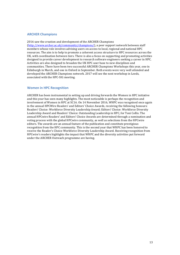#### **ARCHER Champions**

2016 saw the creation and development of the ARCHER Champions (http://www.archer.ac.uk/community/champions/), a peer support network between staff members whose role involves advising users on access to local, regional and national HPC resources. The aim is to help to promote a coherent access structure to HPC resources across the UK, with coordination between tiers. There is also a focus on supporting and promoting activities designed to provide career development to research software engineers seeking a career in HPC. Activities are also designed to broaden the UK HPC user base to new disciplines and communities. There have been two successful ARCHER Champions Workshops this year, one in Edinburgh in March, and one in Oxford in September. Both events were very well attended and developed the ARCHER Champions network. 2017 will see the next workshop in Leeds, associated with the HPC-SIG meeting.

#### **Women in HPC Recognition**

ARCHER has been instrumental in setting up and driving forwards the Women in HPC initiative and this year has seen many highlights. The most noticeable is perhaps the recognition and involvement of Women in HPC at SC16. On 14 November 2016, WHPC was recognised once again in the annual HPCWire Readers' and Editors' Choice Awards, receiving the following honours: Readers' Choice: Workforce Diversity Leadership Award; Editors' Choice: Workforce Diversity Leadership Award and Readers' Choice: Outstanding Leadership in HPC, for Toni Collis. The annual HPCwire Readers' and Editors' Choice Awards are determined through a nomination and voting process with the global HPCwire community, as well as selections from the HPCwire editors. The awards are an annual feature of the publication and constitute prestigious recognition from the HPC community. This is the second year that WHPC has been honored to receive the Reader's Choice Workforce Diversity Leadership Award. Receiving recognition from HPCwire's readers highlights the impact that WHPC and the diversity activities put forward under the ARCHER Outreach programme are having.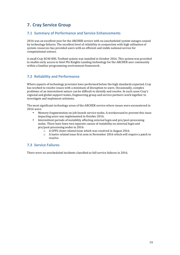# **7. Cray Service Group**

## **7.1 Summary of Performance and Service Enhancements**

2016 was an excellent year for the ARCHER service with no unscheduled system outages caused by technology failures. The excellent level of reliability in conjunction with high utilisation of system resources has provided users with an efficient and stable national service for computational science.

A small Cray XC40 KNL Testbed system was installed in October 2016. This system was provided to enable early access to Intel Phi Knights Landing technology for the ARCHER user community within a familiar programming environment framework.

## **7.2 Reliability and Performance**

Where aspects of technology provision have performed below the high standards expected. Cray has worked to resolve issues with a minimum of disruption to users. Occasionally, complex problems of an intermittent nature can be difficult to identify and resolve. In such cases Cray's regional and global support teams, Engineering group and service partners work together to investigate and implement solutions.

The most significant technology areas of the ARCHER service where issues were encountered in 2016 were:

- Memory fragmentation on job-launch service nodes. A workaround to prevent this issue impacting users was implemented in October 2016.
- Intermittent periods of instability affecting external login and pre/post-processing nodes. There have been two separate causes of instability on external login and pre/post-processing nodes in 2016:
	- $\circ$  A GPFS client related issue which was resolved in August 2016.
	- $\circ$  A lustre related issue first seen in November 2016 which will require a patch to resolve.

## **7.3 Service Failures**

There were no unscheduled incidents classified as full service failures in 2016.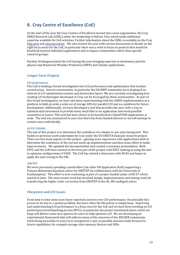# **8.** Cray Centre of Excellence (CoE)

At the start of the year the Cray Centres of Excellence moved into a new organisation, the Cray  $EMEA$  Research Lab (CERL) under the leadership of Adrian Tate, which made additional expertise available for CoE activities. Further information about the CERL is available on the Cray blog post and announcement. We also started the year with various discussions to decide on the right focus areas for the CoE, in particular there was a wish to focus on projects that would be beneficial beyond individual applications and to impact communities rather than specific research groups.

Karthee Sivalingam joined the CoE during the year bringing expertise in elementary particle physics and Numerical Weather Prediction (NWP) and Climate applications.

#### **Longer-Term Projects**

#### *I/O performance*

The  $\overline{C}$  coe is leading a broad investigation into I/O performance and optimisation that touches several areas. Several communities, in particular the UK NWP community have displayed an interest in I/O optimisation toolsets and abstraction layers. We are currently investigating how existing I/O technologies developed at Cray can be leveraged by these communities. As part of this broad investigation, we have also been experimenting with the ADIOS implementation as a platform to both provide a wide set of storage APIs for parallel I/O and as a platform for future development. Additionally, we have developed a tool that provides the user with a way to optimize data movement to provide many small files to an application and avoid possible contention in Lustre. This tool has been shown to be beneficial for OpenFOAM applications at scale. The tool was announced to users but there has been limited interest so we will attempt to contact users individually.

#### *AUTO-TUNING*

The aim of this project is to determine the usefulness of a simple-to-use auto-tuning tool. This builds on previous work undertaken by Cray under the EU CRESTA Exascale research project. There are two main aspects to this project – gaining more experience with applications both to determine the usefulness of the current mock-up implementation and then some effort to make improvements. We updated the documentation and created a summary presentation. Both EPCC and the CoE have started on the first part of the project with EPCC looking at using the tool to optimize configuration of VASP. The CoE has started a discussion with NCAS and hopes to apply the auto-tuning to the UM.

#### *ONETEP*

We were previously spending a small effort (via other UK Application Staff) supporting a Poisson-Boltzmann Equation solver for ONETEP (in collaboration with the University of Southampton). This effort is now continuing as part of a project funded under eCSE-07 which started in June. The most recent work has involved design, implementation and testing work for transferring the higher order correction from ONETEP to the DL\_MG multigrid solver.

#### **Filesystem and I/O Issues**

From time to time some users have reported concerns over I/O performance. Occasionally this proves to be due to a system problem, but more often the filesystem is simply busy. Improving and understanding  $I/O$  performance is a focus area for the CoE and we have been working on  $I/O$ performance benchmarking (as has EPCC); in particular the project mentioned above which we hope will deliver some new options for users to help optimize I/O. We are developing an experimental framework that will address many of the concerns of the ARCHER community, while being accessible to users in as transparent a way as possible and also looks forward to future capabilities, for example storage-class memory devices and SSDs.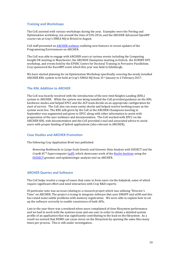#### **Training and Workshops**

The CoE assisted with various workshops during the year. Examples were the Porting and Optimization workshop, run around the time of CUG 2016, and the ARCHER Advanced OpenMP course run at Cray's EMEA HQ in Bristol in August.

CoE staff presented an ARCHER webinar outlining new features in recent updates of the Programming Environment on ARCHER.

The CoE was able to engage with ARCHER users at various events including the Computing Insight UK meeting in Manchester, the ARCHER Champions meeting in Oxford, the ECMWF HPC workshop, and events held by the EPSRC Centre for Doctoral Training in Pervasive Parallelism. Cray sponsored the EuroMPI event which this year was held in Edinburgh,

We have started planning for an Optimization Workshop specifically covering the newly installed ARCHER KNL system to be held at Cray's EMEA HQ from 31<sup>st</sup> January to 2 February 2017.

#### **The KNL Addition to ARCHER**

The CoE was heavily involved with the introduction of the new Intel Knights Landing (KNL) system to ARCHER. While the system was being installed the CoE provided guidance on the KNL hardware modes and helped EPCC and the ACF team decide on an appropriate configuration for start of service. The CoE also ran some sanity checks and helped resolve teething issues as the system went live. The KNL talk given by the CoE at the ARCHER Champions meeting in September was augmented and given to EPCC along with other information to assist with preparation of the user webinars and documentation. The CoE worked with EPCC on the ARCHER-KNL web documentation and the CoE provided a tool and associated advice to assist users with proper binding of hybrid applications (also relevant to ARCHER).

#### **Case Studies and ARCHER Promotion**

The following Cray Application Brief was published:

*Removing Bottlenecks to Large-Scale Genetic and Genomic Data Analysis with DISSECT and the Cray® XC<sup>™</sup> Supercomputer* (pdf), which showcases work of the Roslin Institute using the DISSECT genomic and epidemiologic analysis tool on ARCHER.

#### **ARCHER Queries and Software**

The CoE helps resolve a range of issues that come in from users via the helpdesk, some of which require significant effort and need interaction with Cray R&D experts.

Of particular note was an issue relating to a research project which was utilising "Director's Time" on ARCHER. The project is trying to integrate software that uses DMAPP and uGNI and this has raised some subtle problems with memory registration. We were able to explain how to set up the software correctly to enable coexistence of both APIs.

Late in the year there was a weekend when users complained of slow filesystem performance and we had to work with the systems team and one user in order to obtain a detailed system profile of an application that was significantly contributing to the load on the filesystem. As a result we noticed that NEMO can cause stress on the filesystem by opening the same files many times per process. This is still under investigation.